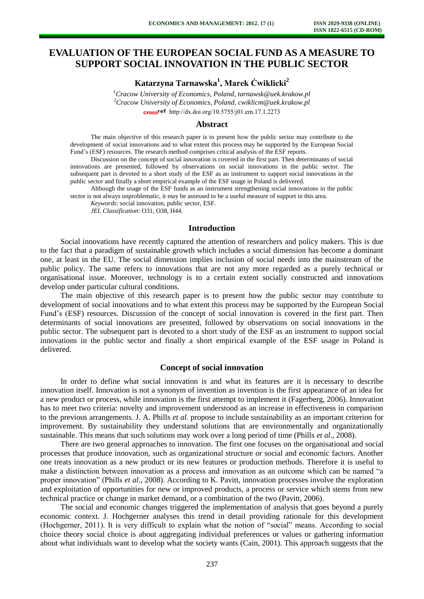# **EVALUATION OF THE EUROPEAN SOCIAL FUND AS A MEASURE TO SUPPORT SOCIAL INNOVATION IN THE PUBLIC SECTOR**

**Katarzyna Tarnawska<sup>1</sup> , Marek Ćwiklicki<sup>2</sup>**

*<sup>1</sup>Cracow University of Economics, Poland, tarnawsk@uek.krakow.pl <sup>2</sup>Cracow University of Economics, Poland, cwiklicm@uek.krakow.pl*  [http://dx.doi.org/10.5755/j01.e](http://dx.doi.org/10.5755/j01.em.17.1.2273)m.17.1.2273

#### **Abstract**

The main objective of this research paper is to present how the public sector may contribute to the development of social innovations and to what extent this process may be supported by the European Social Fund's (ESF) resources. The research method comprises critical analysis of the ESF reports.

Discussion on the concept of social innovation is covered in the first part. Then determinants of social innovations are presented, followed by observations on social innovations in the public sector. The subsequent part is devoted to a short study of the ESF as an instrument to support social innovations in the public sector and finally a short empirical example of the ESF usage in Poland is delivered.

Although the usage of the ESF funds as an instrument strengthening social innovations in the public sector is not always unproblematic, it may be assessed to be a useful measure of support in this area.

*Keywords*: social innovation, public sector, ESF.

*JEL Classification*: O31, O38, H44.

### **Introduction**

Social innovations have recently captured the attention of researchers and policy makers. This is due to the fact that a paradigm of sustainable growth which includes a social dimension has become a dominant one, at least in the EU. The social dimension implies inclusion of social needs into the mainstream of the public policy. The same refers to innovations that are not any more regarded as a purely technical or organisational issue. Moreover, technology is to a certain extent socially constructed and innovations develop under particular cultural conditions.

The main objective of this research paper is to present how the public sector may contribute to development of social innovations and to what extent this process may be supported by the European Social Fund's (ESF) resources. Discussion of the concept of social innovation is covered in the first part. Then determinants of social innovations are presented, followed by observations on social innovations in the public sector. The subsequent part is devoted to a short study of the ESF as an instrument to support social innovations in the public sector and finally a short empirical example of the ESF usage in Poland is delivered.

#### **Concept of social innovation**

In order to define what social innovation is and what its features are it is necessary to describe innovation itself. Innovation is not a synonym of invention as invention is the first appearance of an idea for a new product or process, while innovation is the first attempt to implement it (Fagerberg, 2006). Innovation has to meet two criteria: novelty and improvement understood as an increase in effectiveness in comparison to the previous arrangements. J. A. Phills *et al.* propose to include sustainability as an important criterion for improvement. By sustainability they understand solutions that are environmentally and organizationally sustainable. This means that such solutions may work over a long period of time (Phills *et al*., 2008).

There are two general approaches to innovation. The first one focuses on the organisational and social processes that produce innovation, such as organizational structure or social and economic factors. Another one treats innovation as a new product or its new features or production methods. Therefore it is useful to make a distinction between innovation as a process and innovation as an outcome which can be named "a proper innovation" (Phills *et al*., 2008). According to K. Pavitt, innovation processes involve the exploration and exploitation of opportunities for new or improved products, a process or service which stems from new technical practice or change in market demand, or a combination of the two (Pavitt, 2006).

The social and economic changes triggered the implementation of analysis that goes beyond a purely economic context. J. Hochgerner analyses this trend in detail providing rationale for this development (Hochgerner, 2011). It is very difficult to explain what the notion of "social" means. According to social choice theory social choice is about aggregating individual preferences or values or gathering information about what individuals want to develop what the society wants (Cain, 2001). This approach suggests that the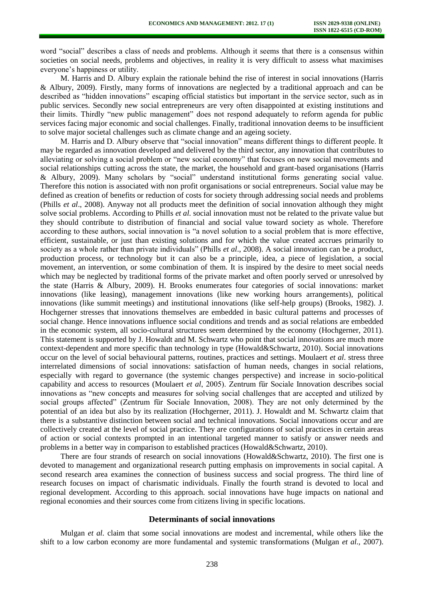word "social" describes a class of needs and problems. Although it seems that there is a consensus within societies on social needs, problems and objectives, in reality it is very difficult to assess what maximises everyone's happiness or utility.

M. Harris and D. Albury explain the rationale behind the rise of interest in social innovations (Harris & Albury, 2009). Firstly, many forms of innovations are neglected by a traditional approach and can be described as "hidden innovations" escaping official statistics but important in the service sector, such as in public services. Secondly new social entrepreneurs are very often disappointed at existing institutions and their limits. Thirdly "new public management" does not respond adequately to reform agenda for public services facing major economic and social challenges. Finally, traditional innovation deems to be insufficient to solve major societal challenges such as climate change and an ageing society.

M. Harris and D. Albury observe that "social innovation" means different things to different people. It may be regarded as innovation developed and delivered by the third sector, any innovation that contributes to alleviating or solving a social problem or "new social economy" that focuses on new social movements and social relationships cutting across the state, the market, the household and grant-based organisations (Harris & Albury, 2009). Many scholars by "social" understand institutional forms generating social value. Therefore this notion is associated with non profit organisations or social entrepreneurs. Social value may be defined as creation of benefits or reduction of costs for society through addressing social needs and problems (Phills *et al*., 2008). Anyway not all products meet the definition of social innovation although they might solve social problems. According to Phills *et al.* social innovation must not be related to the private value but they should contribute to distribution of financial and social value toward society as whole. Therefore according to these authors, social innovation is "a novel solution to a social problem that is more effective, efficient, sustainable, or just than existing solutions and for which the value created accrues primarily to society as a whole rather than private individuals" (Phills *et al*., 2008). A social innovation can be a product, production process, or technology but it can also be a principle, idea, a piece of legislation, a social movement, an intervention, or some combination of them. It is inspired by the desire to meet social needs which may be neglected by traditional forms of the private market and often poorly served or unresolved by the state (Harris & Albury, 2009). H. Brooks enumerates four categories of social innovations: market innovations (like leasing), management innovations (like new working hours arrangements), political innovations (like summit meetings) and institutional innovations (like self-help groups) (Brooks, 1982). J. Hochgerner stresses that innovations themselves are embedded in basic cultural patterns and processes of social change. Hence innovations influence social conditions and trends and as social relations are embedded in the economic system, all socio-cultural structures seem determined by the economy (Hochgerner, 2011). This statement is supported by J. Howaldt and M. Schwartz who point that social innovations are much more context-dependent and more specific than technology in type (Howald&Schwartz, 2010). Social innovations occur on the level of social behavioural patterns, routines, practices and settings. Moulaert *et al*. stress three interrelated dimensions of social innovations: satisfaction of human needs, changes in social relations, especially with regard to governance (the systemic changes perspective) and increase in socio-political capability and access to resources (Moulaert *et al*, 2005). Zentrum für Sociale Innovation describes social innovations as "new concepts and measures for solving social challenges that are accepted and utilized by social groups affected" (Zentrum für Sociale Innovation, 2008). They are not only determined by the potential of an idea but also by its realization (Hochgerner, 2011). J. Howaldt and M. Schwartz claim that there is a substantive distinction between social and technical innovations. Social innovations occur and are collectively created at the level of social practice. They are configurations of social practices in certain areas of action or social contexts prompted in an intentional targeted manner to satisfy or answer needs and problems in a better way in comparison to established practices (Howald&Schwartz, 2010).

There are four strands of research on social innovations (Howald&Schwartz, 2010). The first one is devoted to management and organizational research putting emphasis on improvements in social capital. A second research area examines the connection of business success and social progress. The third line of research focuses on impact of charismatic individuals. Finally the fourth strand is devoted to local and regional development. According to this approach. social innovations have huge impacts on national and regional economies and their sources come from citizens living in specific locations.

### **Determinants of social innovations**

Mulgan *et al.* claim that some social innovations are modest and incremental, while others like the shift to a low carbon economy are more fundamental and systemic transformations (Mulgan *et al.,* 2007).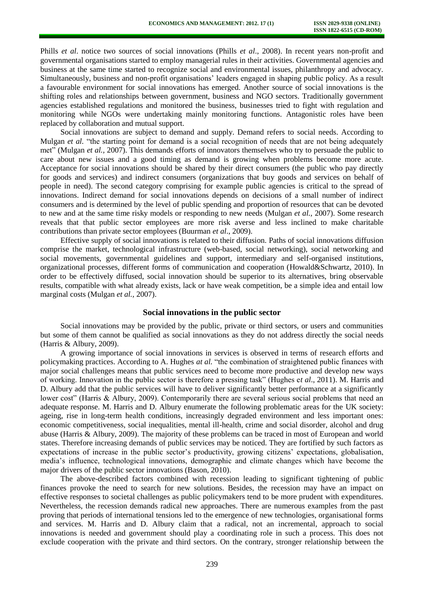Phills *et al*. notice two sources of social innovations (Phills *et al*., 2008). In recent years non-profit and governmental organisations started to employ managerial rules in their activities. Governmental agencies and business at the same time started to recognize social and environmental issues, philanthropy and advocacy. Simultaneously, business and non-profit organisations' leaders engaged in shaping public policy. As a result a favourable environment for social innovations has emerged. Another source of social innovations is the shifting roles and relationships between government, business and NGO sectors. Traditionally government agencies established regulations and monitored the business, businesses tried to fight with regulation and monitoring while NGOs were undertaking mainly monitoring functions. Antagonistic roles have been replaced by collaboration and mutual support.

Social innovations are subject to demand and supply. Demand refers to social needs. According to Mulgan *et al.* "the starting point for demand is a social recognition of needs that are not being adequately met" (Mulgan *et al.,* 2007). This demands efforts of innovators themselves who try to persuade the public to care about new issues and a good timing as demand is growing when problems become more acute. Acceptance for social innovations should be shared by their direct consumers (the public who pay directly for goods and services) and indirect consumers (organizations that buy goods and services on behalf of people in need). The second category comprising for example public agencies is critical to the spread of innovations. Indirect demand for social innovations depends on decisions of a small number of indirect consumers and is determined by the level of public spending and proportion of resources that can be devoted to new and at the same time risky models or responding to new needs (Mulgan *et al.,* 2007). Some research reveals that that public sector employees are more risk averse and less inclined to make charitable contributions than private sector employees (Buurman *et al*., 2009).

Effective supply of social innovations is related to their diffusion. Paths of social innovations diffusion comprise the market, technological infrastructure (web-based, social networking), social networking and social movements, governmental guidelines and support, intermediary and self-organised institutions, organizational processes, different forms of communication and cooperation (Howald&Schwartz, 2010). In order to be effectively diffused, social innovation should be superior to its alternatives, bring observable results, compatible with what already exists, lack or have weak competition, be a simple idea and entail low marginal costs (Mulgan *et al.,* 2007).

#### **Social innovations in the public sector**

Social innovations may be provided by the public, private or third sectors, or users and communities but some of them cannot be qualified as social innovations as they do not address directly the social needs (Harris & Albury, 2009).

A growing importance of social innovations in services is observed in terms of research efforts and policymaking practices. According to A. Hughes *at al.* "the combination of straightened public finances with major social challenges means that public services need to become more productive and develop new ways of working. Innovation in the public sector is therefore a pressing task" (Hughes e*t al*., 2011). M. Harris and D. Albury add that the public services will have to deliver significantly better performance at a significantly lower cost" (Harris & Albury, 2009). Contemporarily there are several serious social problems that need an adequate response. M. Harris and D. Albury enumerate the following problematic areas for the UK society: ageing, rise in long-term health conditions, increasingly degraded environment and less important ones: economic competitiveness, social inequalities, mental ill-health, crime and social disorder, alcohol and drug abuse (Harris & Albury, 2009). The majority of these problems can be traced in most of European and world states. Therefore increasing demands of public services may be noticed. They are fortified by such factors as expectations of increase in the public sector's productivity, growing citizens' expectations, globalisation, media's influence, technological innovations, demographic and climate changes which have become the major drivers of the public sector innovations (Bason, 2010).

The above-described factors combined with recession leading to significant tightening of public finances provoke the need to search for new solutions. Besides, the recession may have an impact on effective responses to societal challenges as public policymakers tend to be more prudent with expenditures. Nevertheless, the recession demands radical new approaches. There are numerous examples from the past proving that periods of international tensions led to the emergence of new technologies, organisational forms and services. M. Harris and D. Albury claim that a radical, not an incremental, approach to social innovations is needed and government should play a coordinating role in such a process. This does not exclude cooperation with the private and third sectors. On the contrary, stronger relationship between the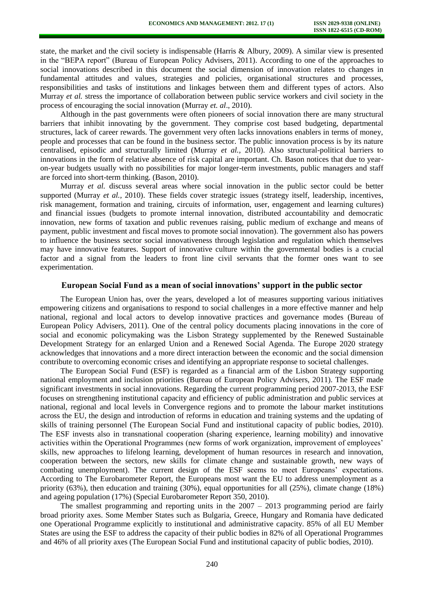state, the market and the civil society is indispensable (Harris & Albury, 2009). A similar view is presented in the "BEPA report" (Bureau of European Policy Advisers, 2011). According to one of the approaches to social innovations described in this document the social dimension of innovation relates to changes in fundamental attitudes and values, strategies and policies, organisational structures and processes, responsibilities and tasks of institutions and linkages between them and different types of actors. Also Murray *et al.* stress the importance of collaboration between public service workers and civil society in the process of encouraging the social innovation (Murray *et. al*., 2010).

Although in the past governments were often pioneers of social innovation there are many structural barriers that inhibit innovating by the government. They comprise cost based budgeting, departmental structures, lack of career rewards. The government very often lacks innovations enablers in terms of money, people and processes that can be found in the business sector. The public innovation process is by its nature centralised, episodic and structurally limited (Murray *et al.,* 2010). Also structural-political barriers to innovations in the form of relative absence of risk capital are important. Ch. Bason notices that due to yearon-year budgets usually with no possibilities for major longer-term investments, public managers and staff are forced into short-term thinking. (Bason, 2010).

Murray *et al.* discuss several areas where social innovation in the public sector could be better supported (Murray *et al.,* 2010). These fields cover strategic issues (strategy itself, leadership, incentives, risk management, formation and training, circuits of information, user, engagement and learning cultures) and financial issues (budgets to promote internal innovation, distributed accountability and democratic innovation, new forms of taxation and public revenues raising, public medium of exchange and means of payment, public investment and fiscal moves to promote social innovation). The government also has powers to influence the business sector social innovativeness through legislation and regulation which themselves may have innovative features. Support of innovative culture within the governmental bodies is a crucial factor and a signal from the leaders to front line civil servants that the former ones want to see experimentation.

#### **European Social Fund as a mean of social innovations' support in the public sector**

The European Union has, over the years, developed a lot of measures supporting various initiatives empowering citizens and organisations to respond to social challenges in a more effective manner and help national, regional and local actors to develop innovative practices and governance modes (Bureau of European Policy Advisers, 2011). One of the central policy documents placing innovations in the core of social and economic policymaking was the Lisbon Strategy supplemented by the Renewed Sustainable Development Strategy for an enlarged Union and a Renewed Social Agenda. The Europe 2020 strategy acknowledges that innovations and a more direct interaction between the economic and the social dimension contribute to overcoming economic crises and identifying an appropriate response to societal challenges.

The European Social Fund (ESF) is regarded as a financial arm of the Lisbon Strategy supporting national employment and inclusion priorities (Bureau of European Policy Advisers, 2011). The ESF made significant investments in social innovations. Regarding the current programming period 2007-2013, the ESF focuses on strengthening institutional capacity and efficiency of public administration and public services at national, regional and local levels in Convergence regions and to promote the labour market institutions across the EU, the design and introduction of reforms in education and training systems and the updating of skills of training personnel (The European Social Fund and institutional capacity of public bodies, 2010). The ESF invests also in transnational cooperation (sharing experience, learning mobility) and innovative activities within the Operational Programmes (new forms of work organization, improvement of employees' skills, new approaches to lifelong learning, development of human resources in research and innovation, cooperation between the sectors, new skills for climate change and sustainable growth, new ways of combating unemployment). The current design of the ESF seems to meet Europeans' expectations. According to The Eurobarometer Report, the Europeans most want the EU to address unemployment as a priority (63%), then education and training (30%), equal opportunities for all (25%), climate change (18%) and ageing population (17%) (Special Eurobarometer Report 350, 2010).

The smallest programming and reporting units in the 2007 – 2013 programming period are fairly broad priority axes. Some Member States such as Bulgaria, Greece, Hungary and Romania have dedicated one Operational Programme explicitly to institutional and administrative capacity. 85% of all EU Member States are using the ESF to address the capacity of their public bodies in 82% of all Operational Programmes and 46% of all priority axes (The European Social Fund and institutional capacity of public bodies, 2010).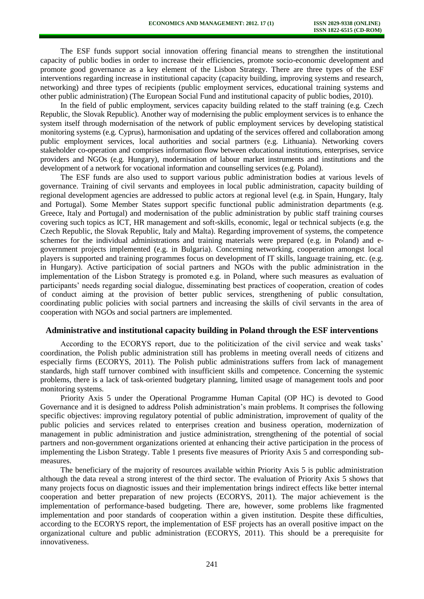The ESF funds support social innovation offering financial means to strengthen the institutional capacity of public bodies in order to increase their efficiencies, promote socio-economic development and promote good governance as a key element of the Lisbon Strategy. There are three types of the ESF interventions regarding increase in institutional capacity (capacity building, improving systems and research, networking) and three types of recipients (public employment services, educational training systems and other public administration) (The European Social Fund and institutional capacity of public bodies, 2010).

In the field of public employment, services capacity building related to the staff training (e.g. Czech Republic, the Slovak Republic). Another way of modernising the public employment services is to enhance the system itself through modernisation of the network of public employment services by developing statistical monitoring systems (e.g. Cyprus), harmonisation and updating of the services offered and collaboration among public employment services, local authorities and social partners (e.g. Lithuania). Networking covers stakeholder co-operation and comprises information flow between educational institutions, enterprises, service providers and NGOs (e.g. Hungary), modernisation of labour market instruments and institutions and the development of a network for vocational information and counselling services (e.g. Poland).

The ESF funds are also used to support various public administration bodies at various levels of governance. Training of civil servants and employees in local public administration, capacity building of regional development agencies are addressed to public actors at regional level (e.g. in Spain, Hungary, Italy and Portugal). Some Member States support specific functional public administration departments (e.g. Greece, Italy and Portugal) and modernisation of the public administration by public staff training courses covering such topics as ICT, HR management and soft-skills, economic, legal or technical subjects (e.g. the Czech Republic, the Slovak Republic, Italy and Malta). Regarding improvement of systems, the competence schemes for the individual administrations and training materials were prepared (e.g. in Poland) and egovernment projects implemented (e.g. in Bulgaria). Concerning networking, cooperation amongst local players is supported and training programmes focus on development of IT skills, language training, etc. (e.g. in Hungary). Active participation of social partners and NGOs with the public administration in the implementation of the Lisbon Strategy is promoted e.g. in Poland, where such measures as evaluation of participants' needs regarding social dialogue, disseminating best practices of cooperation, creation of codes of conduct aiming at the provision of better public services, strengthening of public consultation, coordinating public policies with social partners and increasing the skills of civil servants in the area of cooperation with NGOs and social partners are implemented.

## **Administrative and institutional capacity building in Poland through the ESF interventions**

According to the ECORYS report, due to the politicization of the civil service and weak tasks' coordination, the Polish public administration still has problems in meeting overall needs of citizens and especially firms (ECORYS, 2011). The Polish public administrations suffers from lack of management standards, high staff turnover combined with insufficient skills and competence. Concerning the systemic problems, there is a lack of task-oriented budgetary planning, limited usage of management tools and poor monitoring systems.

Priority Axis 5 under the Operational Programme Human Capital (OP HC) is devoted to Good Governance and it is designed to address Polish administration's main problems. It comprises the following specific objectives: improving regulatory potential of public administration, improvement of quality of the public policies and services related to enterprises creation and business operation, modernization of management in public administration and justice administration, strengthening of the potential of social partners and non-government organizations oriented at enhancing their active participation in the process of implementing the Lisbon Strategy. Table 1 presents five measures of Priority Axis 5 and corresponding submeasures.

The beneficiary of the majority of resources available within Priority Axis 5 is public administration although the data reveal a strong interest of the third sector. The evaluation of Priority Axis 5 shows that many projects focus on diagnostic issues and their implementation brings indirect effects like better internal cooperation and better preparation of new projects (ECORYS, 2011). The major achievement is the implementation of performance-based budgeting. There are, however, some problems like fragmented implementation and poor standards of cooperation within a given institution. Despite these difficulties, according to the ECORYS report, the implementation of ESF projects has an overall positive impact on the organizational culture and public administration (ECORYS, 2011). This should be a prerequisite for innovativeness.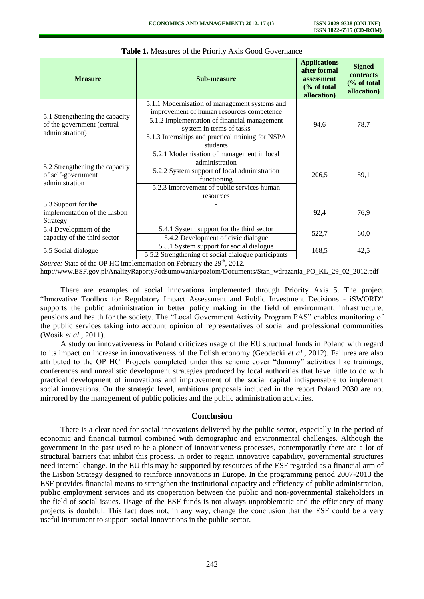| <b>Measure</b>                                                                  | Sub-measure                                                                                     | <b>Applications</b><br>after formal<br>assessment<br>$\frac{6}{6}$ of total<br>allocation) | <b>Signed</b><br>contracts<br>(% of total<br>allocation) |
|---------------------------------------------------------------------------------|-------------------------------------------------------------------------------------------------|--------------------------------------------------------------------------------------------|----------------------------------------------------------|
| 5.1 Strengthening the capacity<br>of the government (central<br>administration) | 5.1.1 Modernisation of management systems and<br>improvement of human resources competence      | 94,6                                                                                       | 78,7                                                     |
|                                                                                 | 5.1.2 Implementation of financial management<br>system in terms of tasks                        |                                                                                            |                                                          |
|                                                                                 | 5.1.3 Internships and practical training for NSPA<br>students                                   |                                                                                            |                                                          |
| 5.2 Strengthening the capacity<br>of self-government<br>administration          | 5.2.1 Modernisation of management in local<br>administration                                    | 206,5                                                                                      | 59,1                                                     |
|                                                                                 | 5.2.2 System support of local administration<br>functioning                                     |                                                                                            |                                                          |
|                                                                                 | 5.2.3 Improvement of public services human<br>resources                                         |                                                                                            |                                                          |
| 5.3 Support for the<br>implementation of the Lisbon<br>Strategy                 |                                                                                                 | 92,4                                                                                       | 76,9                                                     |
| 5.4 Development of the<br>capacity of the third sector                          | 5.4.1 System support for the third sector<br>5.4.2 Development of civic dialogue                | 522,7                                                                                      | 60,0                                                     |
| 5.5 Social dialogue                                                             | 5.5.1 System support for social dialogue<br>5.5.2 Strengthening of social dialogue participants | 168,5                                                                                      | 42,5                                                     |

#### **Table 1.** Measures of the Priority Axis Good Governance

Source: State of the OP HC implementation on February the 29<sup>th</sup>, 2012.

http://www.ESF.gov.pl/AnalizyRaportyPodsumowania/poziom/Documents/Stan\_wdrazania\_PO\_KL\_29\_02\_2012.pdf

There are examples of social innovations implemented through Priority Axis 5. The project "Innovative Toolbox for Regulatory Impact Assessment and Public Investment Decisions - iSWORD" supports the public administration in better policy making in the field of environment, infrastructure, pensions and health for the society. The "Local Government Activity Program PAS" enables monitoring of the public services taking into account opinion of representatives of social and professional communities (Wosik *et al.,* 2011).

A study on innovativeness in Poland criticizes usage of the EU structural funds in Poland with regard to its impact on increase in innovativeness of the Polish economy (Geodecki *et al.*, 2012). Failures are also attributed to the OP HC. Projects completed under this scheme cover "dummy" activities like trainings, conferences and unrealistic development strategies produced by local authorities that have little to do with practical development of innovations and improvement of the social capital indispensable to implement social innovations. On the strategic level, ambitious proposals included in the report Poland 2030 are not mirrored by the management of public policies and the public administration activities.

## **Conclusion**

There is a clear need for social innovations delivered by the public sector, especially in the period of economic and financial turmoil combined with demographic and environmental challenges. Although the government in the past used to be a pioneer of innovativeness processes, contemporarily there are a lot of structural barriers that inhibit this process. In order to regain innovative capability, governmental structures need internal change. In the EU this may be supported by resources of the ESF regarded as a financial arm of the Lisbon Strategy designed to reinforce innovations in Europe. In the programming period 2007-2013 the ESF provides financial means to strengthen the institutional capacity and efficiency of public administration, public employment services and its cooperation between the public and non-governmental stakeholders in the field of social issues. Usage of the ESF funds is not always unproblematic and the efficiency of many projects is doubtful. This fact does not, in any way, change the conclusion that the ESF could be a very useful instrument to support social innovations in the public sector.